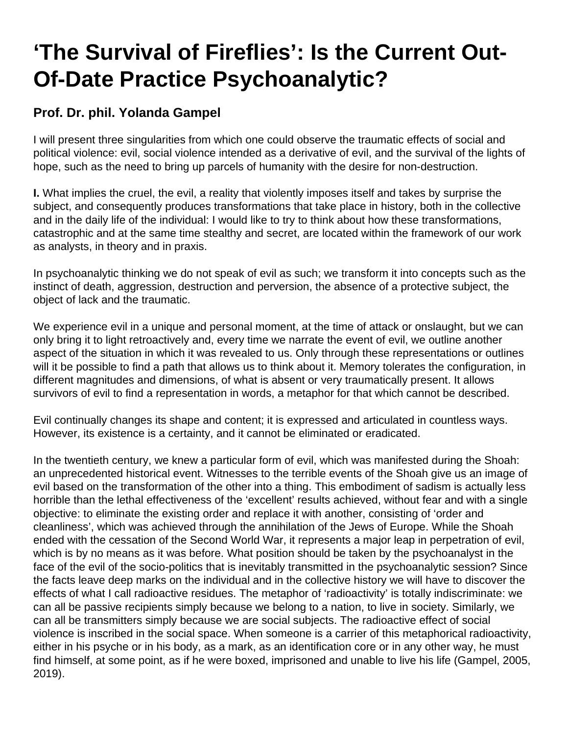## **'The Survival of Fireflies': Is the Current Out-Of-Date Practice Psychoanalytic?**

## **Prof. Dr. phil. Yolanda Gampel**

I will present three singularities from which one could observe the traumatic effects of social and political violence: evil, social violence intended as a derivative of evil, and the survival of the lights of hope, such as the need to bring up parcels of humanity with the desire for non-destruction.

**I.** What implies the cruel, the evil, a reality that violently imposes itself and takes by surprise the subject, and consequently produces transformations that take place in history, both in the collective and in the daily life of the individual: I would like to try to think about how these transformations, catastrophic and at the same time stealthy and secret, are located within the framework of our work as analysts, in theory and in praxis.

In psychoanalytic thinking we do not speak of evil as such; we transform it into concepts such as the instinct of death, aggression, destruction and perversion, the absence of a protective subject, the object of lack and the traumatic.

We experience evil in a unique and personal moment, at the time of attack or onslaught, but we can only bring it to light retroactively and, every time we narrate the event of evil, we outline another aspect of the situation in which it was revealed to us. Only through these representations or outlines will it be possible to find a path that allows us to think about it. Memory tolerates the configuration, in different magnitudes and dimensions, of what is absent or very traumatically present. It allows survivors of evil to find a representation in words, a metaphor for that which cannot be described.

Evil continually changes its shape and content; it is expressed and articulated in countless ways. However, its existence is a certainty, and it cannot be eliminated or eradicated.

In the twentieth century, we knew a particular form of evil, which was manifested during the Shoah: an unprecedented historical event. Witnesses to the terrible events of the Shoah give us an image of evil based on the transformation of the other into a thing. This embodiment of sadism is actually less horrible than the lethal effectiveness of the 'excellent' results achieved, without fear and with a single objective: to eliminate the existing order and replace it with another, consisting of 'order and cleanliness', which was achieved through the annihilation of the Jews of Europe. While the Shoah ended with the cessation of the Second World War, it represents a major leap in perpetration of evil, which is by no means as it was before. What position should be taken by the psychoanalyst in the face of the evil of the socio-politics that is inevitably transmitted in the psychoanalytic session? Since the facts leave deep marks on the individual and in the collective history we will have to discover the effects of what I call radioactive residues. The metaphor of 'radioactivity' is totally indiscriminate: we can all be passive recipients simply because we belong to a nation, to live in society. Similarly, we can all be transmitters simply because we are social subjects. The radioactive effect of social violence is inscribed in the social space. When someone is a carrier of this metaphorical radioactivity, either in his psyche or in his body, as a mark, as an identification core or in any other way, he must find himself, at some point, as if he were boxed, imprisoned and unable to live his life (Gampel, 2005, 2019).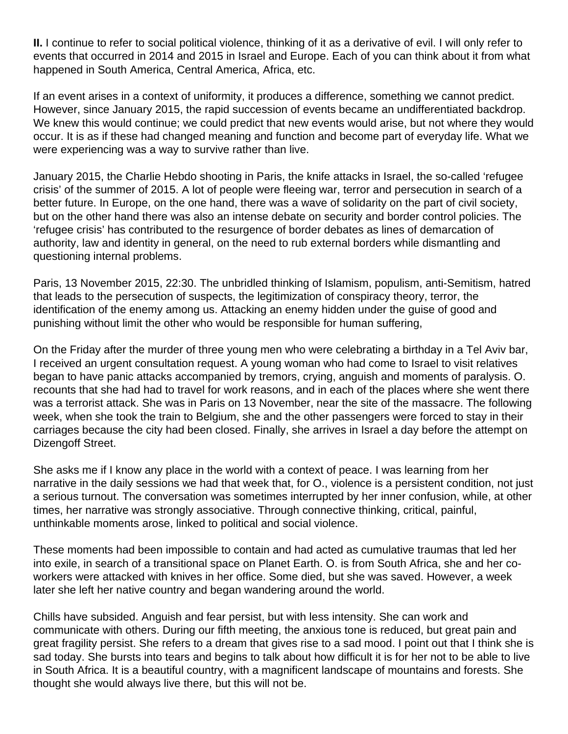**II.** I continue to refer to social political violence, thinking of it as a derivative of evil. I will only refer to events that occurred in 2014 and 2015 in Israel and Europe. Each of you can think about it from what happened in South America, Central America, Africa, etc.

If an event arises in a context of uniformity, it produces a difference, something we cannot predict. However, since January 2015, the rapid succession of events became an undifferentiated backdrop. We knew this would continue; we could predict that new events would arise, but not where they would occur. It is as if these had changed meaning and function and become part of everyday life. What we were experiencing was a way to survive rather than live.

January 2015, the Charlie Hebdo shooting in Paris, the knife attacks in Israel, the so-called 'refugee crisis' of the summer of 2015. A lot of people were fleeing war, terror and persecution in search of a better future. In Europe, on the one hand, there was a wave of solidarity on the part of civil society, but on the other hand there was also an intense debate on security and border control policies. The 'refugee crisis' has contributed to the resurgence of border debates as lines of demarcation of authority, law and identity in general, on the need to rub external borders while dismantling and questioning internal problems.

Paris, 13 November 2015, 22:30. The unbridled thinking of Islamism, populism, anti-Semitism, hatred that leads to the persecution of suspects, the legitimization of conspiracy theory, terror, the identification of the enemy among us. Attacking an enemy hidden under the guise of good and punishing without limit the other who would be responsible for human suffering,

On the Friday after the murder of three young men who were celebrating a birthday in a Tel Aviv bar, I received an urgent consultation request. A young woman who had come to Israel to visit relatives began to have panic attacks accompanied by tremors, crying, anguish and moments of paralysis. O. recounts that she had had to travel for work reasons, and in each of the places where she went there was a terrorist attack. She was in Paris on 13 November, near the site of the massacre. The following week, when she took the train to Belgium, she and the other passengers were forced to stay in their carriages because the city had been closed. Finally, she arrives in Israel a day before the attempt on Dizengoff Street.

She asks me if I know any place in the world with a context of peace. I was learning from her narrative in the daily sessions we had that week that, for O., violence is a persistent condition, not just a serious turnout. The conversation was sometimes interrupted by her inner confusion, while, at other times, her narrative was strongly associative. Through connective thinking, critical, painful, unthinkable moments arose, linked to political and social violence.

These moments had been impossible to contain and had acted as cumulative traumas that led her into exile, in search of a transitional space on Planet Earth. O. is from South Africa, she and her coworkers were attacked with knives in her office. Some died, but she was saved. However, a week later she left her native country and began wandering around the world.

Chills have subsided. Anguish and fear persist, but with less intensity. She can work and communicate with others. During our fifth meeting, the anxious tone is reduced, but great pain and great fragility persist. She refers to a dream that gives rise to a sad mood. I point out that I think she is sad today. She bursts into tears and begins to talk about how difficult it is for her not to be able to live in South Africa. It is a beautiful country, with a magnificent landscape of mountains and forests. She thought she would always live there, but this will not be.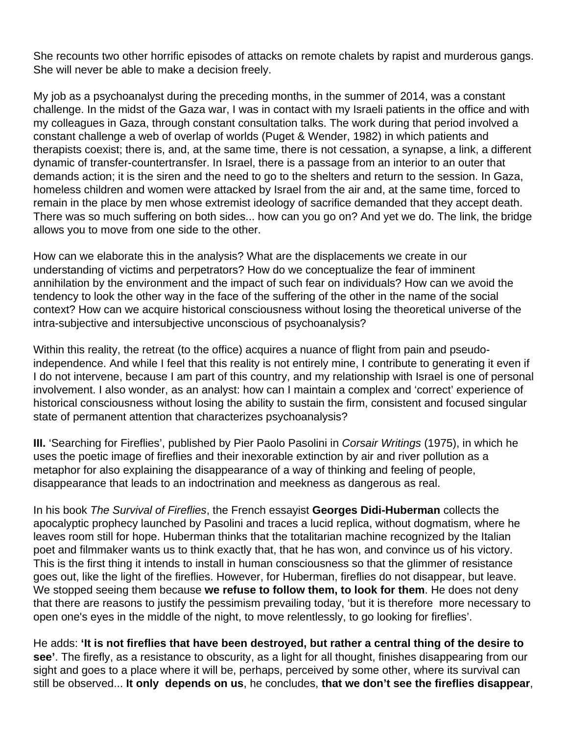She recounts two other horrific episodes of attacks on remote chalets by rapist and murderous gangs. She will never be able to make a decision freely.

My job as a psychoanalyst during the preceding months, in the summer of 2014, was a constant challenge. In the midst of the Gaza war, I was in contact with my Israeli patients in the office and with my colleagues in Gaza, through constant consultation talks. The work during that period involved a constant challenge a web of overlap of worlds (Puget & Wender, 1982) in which patients and therapists coexist; there is, and, at the same time, there is not cessation, a synapse, a link, a different dynamic of transfer-countertransfer. In Israel, there is a passage from an interior to an outer that demands action; it is the siren and the need to go to the shelters and return to the session. In Gaza, homeless children and women were attacked by Israel from the air and, at the same time, forced to remain in the place by men whose extremist ideology of sacrifice demanded that they accept death. There was so much suffering on both sides... how can you go on? And yet we do. The link, the bridge allows you to move from one side to the other.

How can we elaborate this in the analysis? What are the displacements we create in our understanding of victims and perpetrators? How do we conceptualize the fear of imminent annihilation by the environment and the impact of such fear on individuals? How can we avoid the tendency to look the other way in the face of the suffering of the other in the name of the social context? How can we acquire historical consciousness without losing the theoretical universe of the intra-subjective and intersubjective unconscious of psychoanalysis?

Within this reality, the retreat (to the office) acquires a nuance of flight from pain and pseudoindependence. And while I feel that this reality is not entirely mine, I contribute to generating it even if I do not intervene, because I am part of this country, and my relationship with Israel is one of personal involvement. I also wonder, as an analyst: how can I maintain a complex and 'correct' experience of historical consciousness without losing the ability to sustain the firm, consistent and focused singular state of permanent attention that characterizes psychoanalysis?

**III.** 'Searching for Fireflies', published by Pier Paolo Pasolini in Corsair Writings (1975), in which he uses the poetic image of fireflies and their inexorable extinction by air and river pollution as a metaphor for also explaining the disappearance of a way of thinking and feeling of people, disappearance that leads to an indoctrination and meekness as dangerous as real.

In his book The Survival of Fireflies, the French essayist **Georges Didi-Huberman** collects the apocalyptic prophecy launched by Pasolini and traces a lucid replica, without dogmatism, where he leaves room still for hope. Huberman thinks that the totalitarian machine recognized by the Italian poet and filmmaker wants us to think exactly that, that he has won, and convince us of his victory. This is the first thing it intends to install in human consciousness so that the glimmer of resistance goes out, like the light of the fireflies. However, for Huberman, fireflies do not disappear, but leave. We stopped seeing them because **we refuse to follow them, to look for them**. He does not deny that there are reasons to justify the pessimism prevailing today, 'but it is therefore more necessary to open one's eyes in the middle of the night, to move relentlessly, to go looking for fireflies'.

He adds: **'It is not fireflies that have been destroyed, but rather a central thing of the desire to see'**. The firefly, as a resistance to obscurity, as a light for all thought, finishes disappearing from our sight and goes to a place where it will be, perhaps, perceived by some other, where its survival can still be observed... **It only depends on us**, he concludes, **that we don't see the fireflies disappear**,